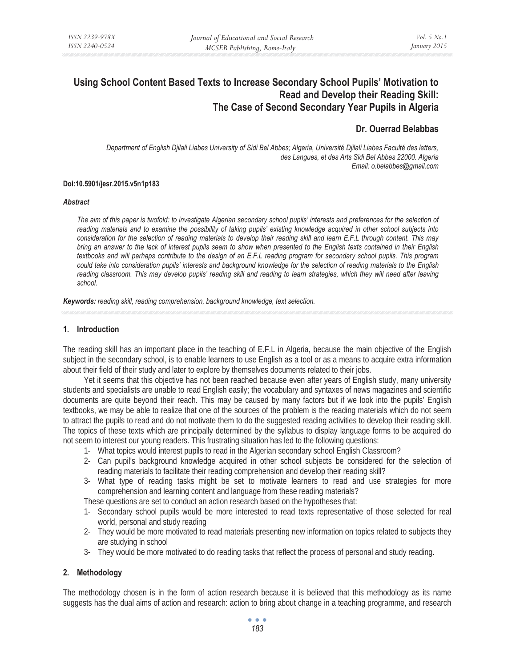# **Using School Content Based Texts to Increase Secondary School Pupils' Motivation to Read and Develop their Reading Skill: The Case of Second Secondary Year Pupils in Algeria**

# **Dr. Ouerrad Belabbas**

*Department of English Djilali Liabes University of Sidi Bel Abbes; Algeria, Université Djilali Liabes Faculté des letters, des Langues, et des Arts Sidi Bel Abbes 22000. Algeria Email: o.belabbes@gmail.com* 

#### **Doi:10.5901/jesr.2015.v5n1p183**

#### *Abstract*

*The aim of this paper is twofold: to investigate Algerian secondary school pupils' interests and preferences for the selection of reading materials and to examine the possibility of taking pupils' existing knowledge acquired in other school subjects into consideration for the selection of reading materials to develop their reading skill and learn E.F.L through content. This may bring an answer to the lack of interest pupils seem to show when presented to the English texts contained in their English textbooks and will perhaps contribute to the design of an E.F.L reading program for secondary school pupils. This program could take into consideration pupils' interests and background knowledge for the selection of reading materials to the English reading classroom. This may develop pupils' reading skill and reading to learn strategies, which they will need after leaving school.* 

*Keywords: reading skill, reading comprehension, background knowledge, text selection.*

#### **1. Introduction**

The reading skill has an important place in the teaching of E.F.L in Algeria, because the main objective of the English subject in the secondary school, is to enable learners to use English as a tool or as a means to acquire extra information about their field of their study and later to explore by themselves documents related to their jobs.

Yet it seems that this objective has not been reached because even after years of English study, many university students and specialists are unable to read English easily; the vocabulary and syntaxes of news magazines and scientific documents are quite beyond their reach. This may be caused by many factors but if we look into the pupils' English textbooks, we may be able to realize that one of the sources of the problem is the reading materials which do not seem to attract the pupils to read and do not motivate them to do the suggested reading activities to develop their reading skill. The topics of these texts which are principally determined by the syllabus to display language forms to be acquired do not seem to interest our young readers. This frustrating situation has led to the following questions:

- 1- What topics would interest pupils to read in the Algerian secondary school English Classroom?
- 2- Can pupil's background knowledge acquired in other school subjects be considered for the selection of reading materials to facilitate their reading comprehension and develop their reading skill?
- 3- What type of reading tasks might be set to motivate learners to read and use strategies for more comprehension and learning content and language from these reading materials?

These questions are set to conduct an action research based on the hypotheses that:

- 1- Secondary school pupils would be more interested to read texts representative of those selected for real world, personal and study reading
- 2- They would be more motivated to read materials presenting new information on topics related to subjects they are studying in school
- 3- They would be more motivated to do reading tasks that reflect the process of personal and study reading.

# **2. Methodology**

The methodology chosen is in the form of action research because it is believed that this methodology as its name suggests has the dual aims of action and research: action to bring about change in a teaching programme, and research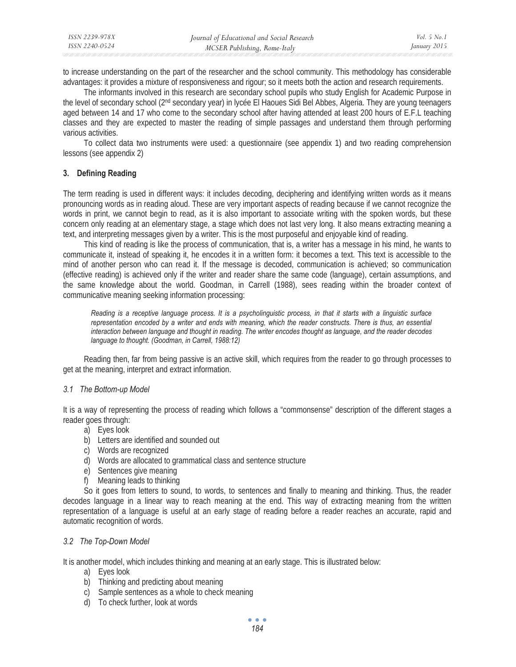| ISSN 2239-978X | Journal of Educational and Social Research | <i>Vol.</i> 5 No. 1 |
|----------------|--------------------------------------------|---------------------|
| ISSN 2240-0524 | MCSER Publishing, Rome-Italy               | January 2015        |

to increase understanding on the part of the researcher and the school community. This methodology has considerable advantages: it provides a mixture of responsiveness and rigour; so it meets both the action and research requirements.

The informants involved in this research are secondary school pupils who study English for Academic Purpose in the level of secondary school (2nd secondary year) in lycée El Haoues Sidi Bel Abbes, Algeria. They are young teenagers aged between 14 and 17 who come to the secondary school after having attended at least 200 hours of E.F.L teaching classes and they are expected to master the reading of simple passages and understand them through performing various activities.

To collect data two instruments were used: a questionnaire (see appendix 1) and two reading comprehension lessons (see appendix 2)

### **3. Defining Reading**

The term reading is used in different ways: it includes decoding, deciphering and identifying written words as it means pronouncing words as in reading aloud. These are very important aspects of reading because if we cannot recognize the words in print, we cannot begin to read, as it is also important to associate writing with the spoken words, but these concern only reading at an elementary stage, a stage which does not last very long. It also means extracting meaning a text, and interpreting messages given by a writer. This is the most purposeful and enjoyable kind of reading.

This kind of reading is like the process of communication, that is, a writer has a message in his mind, he wants to communicate it, instead of speaking it, he encodes it in a written form: it becomes a text. This text is accessible to the mind of another person who can read it. If the message is decoded, communication is achieved; so communication (effective reading) is achieved only if the writer and reader share the same code (language), certain assumptions, and the same knowledge about the world. Goodman, in Carrell (1988), sees reading within the broader context of communicative meaning seeking information processing:

*Reading is a receptive language process. It is a psycholinguistic process, in that it starts with a linguistic surface representation encoded by a writer and ends with meaning, which the reader constructs. There is thus, an essential interaction between language and thought in reading. The writer encodes thought as language, and the reader decodes language to thought. (Goodman, in Carrell, 1988:12)* 

Reading then, far from being passive is an active skill, which requires from the reader to go through processes to get at the meaning, interpret and extract information.

#### *3.1 The Bottom-up Model*

It is a way of representing the process of reading which follows a "commonsense" description of the different stages a reader goes through:

- a) Eyes look
- b) Letters are identified and sounded out
- c) Words are recognized
- d) Words are allocated to grammatical class and sentence structure
- e) Sentences give meaning
- f) Meaning leads to thinking

So it goes from letters to sound, to words, to sentences and finally to meaning and thinking. Thus, the reader decodes language in a linear way to reach meaning at the end. This way of extracting meaning from the written representation of a language is useful at an early stage of reading before a reader reaches an accurate, rapid and automatic recognition of words.

### *3.2 The Top-Down Model*

It is another model, which includes thinking and meaning at an early stage. This is illustrated below:

- a) Eyes look
- b) Thinking and predicting about meaning
- c) Sample sentences as a whole to check meaning
- d) To check further, look at words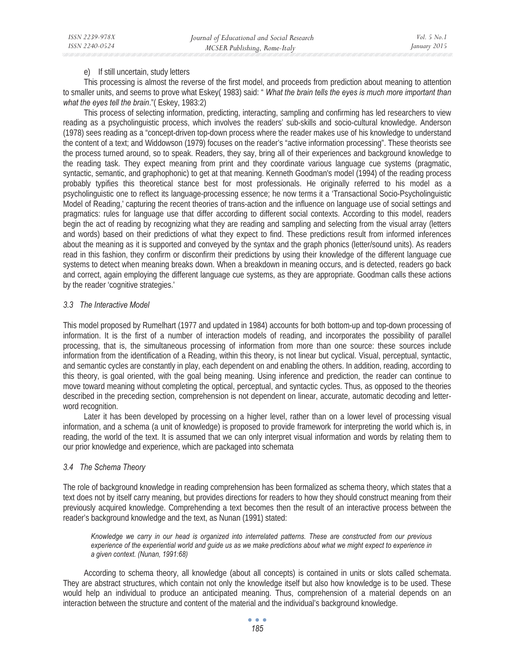# e) If still uncertain, study letters

This processing is almost the reverse of the first model, and proceeds from prediction about meaning to attention to smaller units, and seems to prove what Eskey( 1983) said: " *What the brain tells the eyes is much more important than what the eyes tell the brain*."( Eskey, 1983:2)

This process of selecting information, predicting, interacting, sampling and confirming has led researchers to view reading as a psycholinguistic process, which involves the readers' sub-skills and socio-cultural knowledge. Anderson (1978) sees reading as a "concept-driven top-down process where the reader makes use of his knowledge to understand the content of a text; and Widdowson (1979) focuses on the reader's "active information processing". These theorists see the process turned around, so to speak. Readers, they say, bring all of their experiences and background knowledge to the reading task. They expect meaning from print and they coordinate various language cue systems (pragmatic, syntactic, semantic, and graphophonic) to get at that meaning. Kenneth Goodman's model (1994) of the reading process probably typifies this theoretical stance best for most professionals. He originally referred to his model as a psycholinguistic one to reflect its language-processing essence; he now terms it a 'Transactional Socio-Psycholinguistic Model of Reading,' capturing the recent theories of trans-action and the influence on language use of social settings and pragmatics: rules for language use that differ according to different social contexts. According to this model, readers begin the act of reading by recognizing what they are reading and sampling and selecting from the visual array (letters and words) based on their predictions of what they expect to find. These predictions result from informed inferences about the meaning as it is supported and conveyed by the syntax and the graph phonics (letter/sound units). As readers read in this fashion, they confirm or disconfirm their predictions by using their knowledge of the different language cue systems to detect when meaning breaks down. When a breakdown in meaning occurs, and is detected, readers go back and correct, again employing the different language cue systems, as they are appropriate. Goodman calls these actions by the reader 'cognitive strategies.'

# *3.3 The Interactive Model*

This model proposed by Rumelhart (1977 and updated in 1984) accounts for both bottom-up and top-down processing of information. It is the first of a number of interaction models of reading, and incorporates the possibility of parallel processing, that is, the simultaneous processing of information from more than one source: these sources include information from the identification of a Reading, within this theory, is not linear but cyclical. Visual, perceptual, syntactic, and semantic cycles are constantly in play, each dependent on and enabling the others. In addition, reading, according to this theory, is goal oriented, with the goal being meaning. Using inference and prediction, the reader can continue to move toward meaning without completing the optical, perceptual, and syntactic cycles. Thus, as opposed to the theories described in the preceding section, comprehension is not dependent on linear, accurate, automatic decoding and letterword recognition.

Later it has been developed by processing on a higher level, rather than on a lower level of processing visual information, and a schema (a unit of knowledge) is proposed to provide framework for interpreting the world which is, in reading, the world of the text. It is assumed that we can only interpret visual information and words by relating them to our prior knowledge and experience, which are packaged into schemata

# *3.4 The Schema Theory*

The role of background knowledge in reading comprehension has been formalized as schema theory, which states that a text does not by itself carry meaning, but provides directions for readers to how they should construct meaning from their previously acquired knowledge. Comprehending a text becomes then the result of an interactive process between the reader's background knowledge and the text, as Nunan (1991) stated:

*Knowledge we carry in our head is organized into interrelated patterns. These are constructed from our previous experience of the experiential world and guide us as we make predictions about what we might expect to experience in a given context. (Nunan, 1991:68)* 

According to schema theory, all knowledge (about all concepts) is contained in units or slots called schemata. They are abstract structures, which contain not only the knowledge itself but also how knowledge is to be used. These would help an individual to produce an anticipated meaning. Thus, comprehension of a material depends on an interaction between the structure and content of the material and the individual's background knowledge.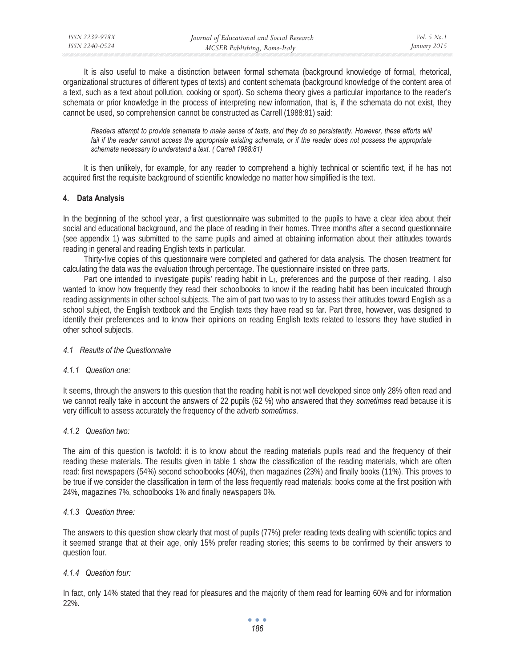It is also useful to make a distinction between formal schemata (background knowledge of formal, rhetorical, organizational structures of different types of texts) and content schemata (background knowledge of the content area of a text, such as a text about pollution, cooking or sport). So schema theory gives a particular importance to the reader's schemata or prior knowledge in the process of interpreting new information, that is, if the schemata do not exist, they cannot be used, so comprehension cannot be constructed as Carrell (1988:81) said:

*Readers attempt to provide schemata to make sense of texts, and they do so persistently. However, these efforts will*  fail if the reader cannot access the appropriate existing schemata, or if the reader does not possess the appropriate *schemata necessary to understand a text. ( Carrell 1988:81)* 

It is then unlikely, for example, for any reader to comprehend a highly technical or scientific text, if he has not acquired first the requisite background of scientific knowledge no matter how simplified is the text.

# **4. Data Analysis**

In the beginning of the school year, a first questionnaire was submitted to the pupils to have a clear idea about their social and educational background, and the place of reading in their homes. Three months after a second questionnaire (see appendix 1) was submitted to the same pupils and aimed at obtaining information about their attitudes towards reading in general and reading English texts in particular.

Thirty-five copies of this questionnaire were completed and gathered for data analysis. The chosen treatment for calculating the data was the evaluation through percentage. The questionnaire insisted on three parts.

Part one intended to investigate pupils' reading habit in L<sub>1</sub>, preferences and the purpose of their reading. I also wanted to know how frequently they read their schoolbooks to know if the reading habit has been inculcated through reading assignments in other school subjects. The aim of part two was to try to assess their attitudes toward English as a school subject, the English textbook and the English texts they have read so far. Part three, however, was designed to identify their preferences and to know their opinions on reading English texts related to lessons they have studied in other school subjects.

# *4.1 Results of the Questionnaire*

# *4.1.1 Question one:*

It seems, through the answers to this question that the reading habit is not well developed since only 28% often read and we cannot really take in account the answers of 22 pupils (62 %) who answered that they *sometimes* read because it is very difficult to assess accurately the frequency of the adverb *sometimes*.

# *4.1.2 Question two:*

The aim of this question is twofold: it is to know about the reading materials pupils read and the frequency of their reading these materials. The results given in table 1 show the classification of the reading materials, which are often read: first newspapers (54%) second schoolbooks (40%), then magazines (23%) and finally books (11%). This proves to be true if we consider the classification in term of the less frequently read materials: books come at the first position with 24%, magazines 7%, schoolbooks 1% and finally newspapers 0%.

# *4.1.3 Question three:*

The answers to this question show clearly that most of pupils (77%) prefer reading texts dealing with scientific topics and it seemed strange that at their age, only 15% prefer reading stories; this seems to be confirmed by their answers to question four.

# *4.1.4 Question four:*

In fact, only 14% stated that they read for pleasures and the majority of them read for learning 60% and for information 22%.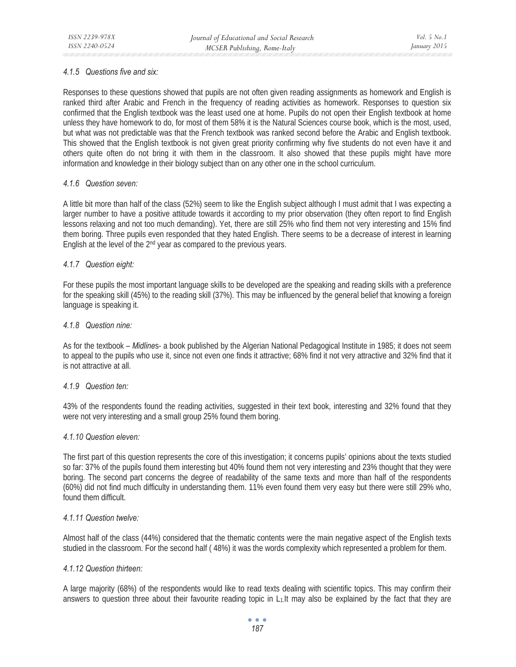# *4.1.5 Questions five and six:*

Responses to these questions showed that pupils are not often given reading assignments as homework and English is ranked third after Arabic and French in the frequency of reading activities as homework. Responses to question six confirmed that the English textbook was the least used one at home. Pupils do not open their English textbook at home unless they have homework to do, for most of them 58% it is the Natural Sciences course book, which is the most, used, but what was not predictable was that the French textbook was ranked second before the Arabic and English textbook. This showed that the English textbook is not given great priority confirming why five students do not even have it and others quite often do not bring it with them in the classroom. It also showed that these pupils might have more information and knowledge in their biology subject than on any other one in the school curriculum.

# *4.1.6 Question seven:*

A little bit more than half of the class (52%) seem to like the English subject although I must admit that I was expecting a larger number to have a positive attitude towards it according to my prior observation (they often report to find English lessons relaxing and not too much demanding). Yet, there are still 25% who find them not very interesting and 15% find them boring. Three pupils even responded that they hated English. There seems to be a decrease of interest in learning English at the level of the 2nd year as compared to the previous years.

# *4.1.7 Question eight:*

For these pupils the most important language skills to be developed are the speaking and reading skills with a preference for the speaking skill (45%) to the reading skill (37%). This may be influenced by the general belief that knowing a foreign language is speaking it.

# *4.1.8 Question nine:*

As for the textbook – *Midline*s- a book published by the Algerian National Pedagogical Institute in 1985; it does not seem to appeal to the pupils who use it, since not even one finds it attractive; 68% find it not very attractive and 32% find that it is not attractive at all.

# *4.1.9 Question ten:*

43% of the respondents found the reading activities, suggested in their text book, interesting and 32% found that they were not very interesting and a small group 25% found them boring.

# *4.1.10 Question eleven:*

The first part of this question represents the core of this investigation; it concerns pupils' opinions about the texts studied so far: 37% of the pupils found them interesting but 40% found them not very interesting and 23% thought that they were boring. The second part concerns the degree of readability of the same texts and more than half of the respondents (60%) did not find much difficulty in understanding them. 11% even found them very easy but there were still 29% who, found them difficult.

# *4.1.11 Question twelve:*

Almost half of the class (44%) considered that the thematic contents were the main negative aspect of the English texts studied in the classroom. For the second half ( 48%) it was the words complexity which represented a problem for them.

# *4.1.12 Question thirteen:*

A large majority (68%) of the respondents would like to read texts dealing with scientific topics. This may confirm their answers to question three about their favourite reading topic in L1.It may also be explained by the fact that they are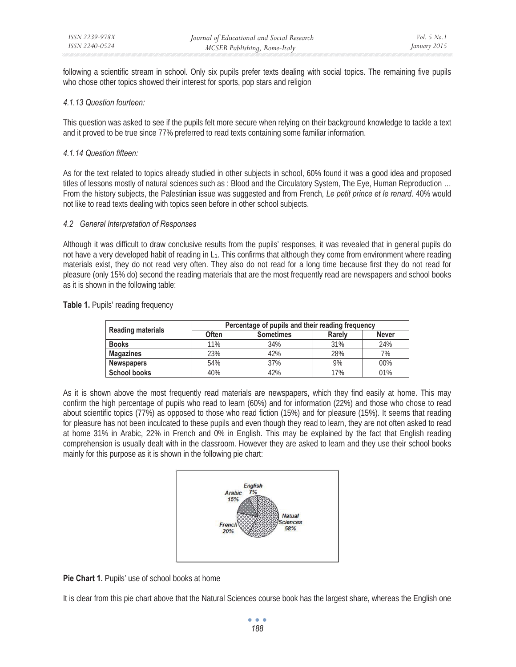following a scientific stream in school. Only six pupils prefer texts dealing with social topics. The remaining five pupils who chose other topics showed their interest for sports, pop stars and religion

### *4.1.13 Question fourteen:*

This question was asked to see if the pupils felt more secure when relying on their background knowledge to tackle a text and it proved to be true since 77% preferred to read texts containing some familiar information.

### *4.1.14 Question fifteen:*

As for the text related to topics already studied in other subjects in school, 60% found it was a good idea and proposed titles of lessons mostly of natural sciences such as : Blood and the Circulatory System, The Eye, Human Reproduction … From the history subjects, the Palestinian issue was suggested and from French*, Le petit prince et le renard*. 40% would not like to read texts dealing with topics seen before in other school subjects.

### *4.2 General Interpretation of Responses*

Although it was difficult to draw conclusive results from the pupils' responses, it was revealed that in general pupils do not have a very developed habit of reading in L<sub>1</sub>. This confirms that although they come from environment where reading materials exist, they do not read very often. They also do not read for a long time because first they do not read for pleasure (only 15% do) second the reading materials that are the most frequently read are newspapers and school books as it is shown in the following table:

### Table 1. Pupils' reading frequency

|                          | Percentage of pupils and their reading frequency |                  |               |              |  |  |  |  |
|--------------------------|--------------------------------------------------|------------------|---------------|--------------|--|--|--|--|
| <b>Reading materials</b> | <b>Often</b>                                     | <b>Sometimes</b> | <b>Rarely</b> | <b>Never</b> |  |  |  |  |
| <b>Books</b>             | 11%                                              | 34%              | 31%           | 24%          |  |  |  |  |
| <b>Magazines</b>         | 23%                                              | 42%              | 28%           | 7%           |  |  |  |  |
| <b>Newspapers</b>        | 54%                                              | 37%              | 9%            | 00%          |  |  |  |  |
| <b>School books</b>      | 40%                                              | 42%              | 17%           | 01%          |  |  |  |  |

As it is shown above the most frequently read materials are newspapers, which they find easily at home. This may confirm the high percentage of pupils who read to learn (60%) and for information (22%) and those who chose to read about scientific topics (77%) as opposed to those who read fiction (15%) and for pleasure (15%). It seems that reading for pleasure has not been inculcated to these pupils and even though they read to learn, they are not often asked to read at home 31% in Arabic, 22% in French and 0% in English. This may be explained by the fact that English reading comprehension is usually dealt with in the classroom. However they are asked to learn and they use their school books mainly for this purpose as it is shown in the following pie chart:



Pie Chart 1. Pupils' use of school books at home

It is clear from this pie chart above that the Natural Sciences course book has the largest share, whereas the English one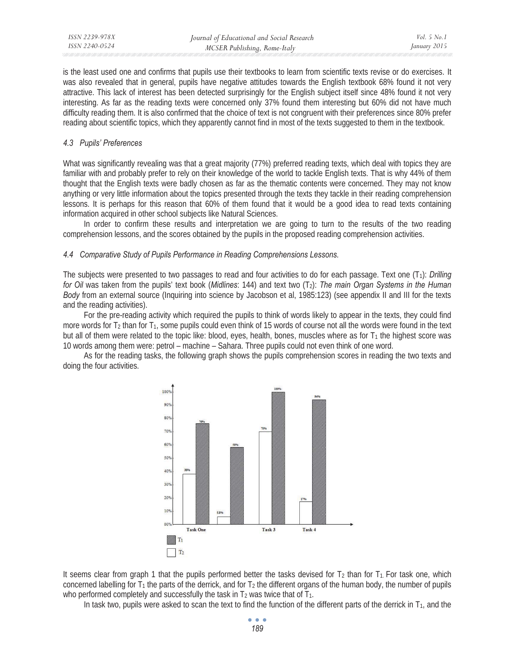is the least used one and confirms that pupils use their textbooks to learn from scientific texts revise or do exercises. It was also revealed that in general, pupils have negative attitudes towards the English textbook 68% found it not very attractive. This lack of interest has been detected surprisingly for the English subject itself since 48% found it not very interesting. As far as the reading texts were concerned only 37% found them interesting but 60% did not have much difficulty reading them. It is also confirmed that the choice of text is not congruent with their preferences since 80% prefer reading about scientific topics, which they apparently cannot find in most of the texts suggested to them in the textbook.

# *4.3 Pupils' Preferences*

What was significantly revealing was that a great majority (77%) preferred reading texts, which deal with topics they are familiar with and probably prefer to rely on their knowledge of the world to tackle English texts. That is why 44% of them thought that the English texts were badly chosen as far as the thematic contents were concerned. They may not know anything or very little information about the topics presented through the texts they tackle in their reading comprehension lessons. It is perhaps for this reason that 60% of them found that it would be a good idea to read texts containing information acquired in other school subjects like Natural Sciences.

In order to confirm these results and interpretation we are going to turn to the results of the two reading comprehension lessons, and the scores obtained by the pupils in the proposed reading comprehension activities.

# *4.4 Comparative Study of Pupils Performance in Reading Comprehensions Lessons.*

The subjects were presented to two passages to read and four activities to do for each passage. Text one (T1): *Drilling for Oil* was taken from the pupils' text book (*Midlines*: 144) and text two (T<sub>2</sub>): *The main Organ Systems in the Human Body* from an external source (Inquiring into science by Jacobson et al, 1985:123) (see appendix II and III for the texts and the reading activities).

For the pre-reading activity which required the pupils to think of words likely to appear in the texts, they could find more words for  $T_2$  than for  $T_1$ , some pupils could even think of 15 words of course not all the words were found in the text but all of them were related to the topic like: blood, eyes, health, bones, muscles where as for  $T_1$  the highest score was 10 words among them were: petrol – machine – Sahara. Three pupils could not even think of one word.

As for the reading tasks, the following graph shows the pupils comprehension scores in reading the two texts and doing the four activities.



It seems clear from graph 1 that the pupils performed better the tasks devised for  $T_2$  than for  $T_1$ . For task one, which concerned labelling for  $T_1$  the parts of the derrick, and for  $T_2$  the different organs of the human body, the number of pupils who performed completely and successfully the task in  $T_2$  was twice that of  $T_1$ .

In task two, pupils were asked to scan the text to find the function of the different parts of the derrick in  $T_1$ , and the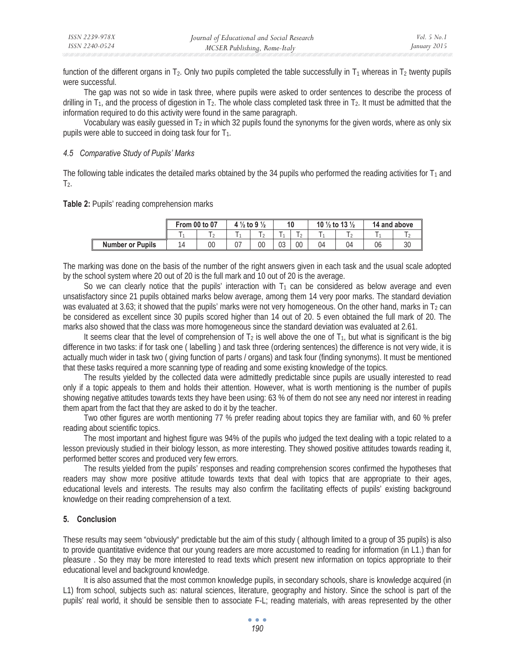function of the different organs in  $T_2$ . Only two pupils completed the table successfully in  $T_1$  whereas in  $T_2$  twenty pupils were successful.

The gap was not so wide in task three, where pupils were asked to order sentences to describe the process of drilling in  $T_1$ , and the process of digestion in  $T_2$ . The whole class completed task three in  $T_2$ . It must be admitted that the information required to do this activity were found in the same paragraph.

Vocabulary was easily guessed in  $T_2$  in which 32 pupils found the synonyms for the given words, where as only six pupils were able to succeed in doing task four for  $T_1$ .

### *4.5 Comparative Study of Pupils' Marks*

The following table indicates the detailed marks obtained by the 34 pupils who performed the reading activities for  $T_1$  and  $T<sub>2</sub>$ .

**Table 2:** Pupils' reading comprehension marks

|                         | From 00 to 07 |    | 4 $\frac{1}{2}$ to 9 $\frac{1}{2}$ |    |    |    | 10 $\frac{1}{2}$ to 13 $\frac{1}{2}$ |    | 14 and above |    |
|-------------------------|---------------|----|------------------------------------|----|----|----|--------------------------------------|----|--------------|----|
|                         |               |    |                                    |    |    |    |                                      |    |              |    |
| <b>Number or Pupils</b> |               | 00 | U7                                 | 00 | 03 | 00 | 04                                   | 04 | 06           | 30 |

The marking was done on the basis of the number of the right answers given in each task and the usual scale adopted by the school system where 20 out of 20 is the full mark and 10 out of 20 is the average.

So we can clearly notice that the pupils' interaction with  $T_1$  can be considered as below average and even unsatisfactory since 21 pupils obtained marks below average, among them 14 very poor marks. The standard deviation was evaluated at 3.63; it showed that the pupils' marks were not very homogeneous. On the other hand, marks in  $T_2$  can be considered as excellent since 30 pupils scored higher than 14 out of 20. 5 even obtained the full mark of 20. The marks also showed that the class was more homogeneous since the standard deviation was evaluated at 2.61.

It seems clear that the level of comprehension of  $T_2$  is well above the one of  $T_1$ , but what is significant is the big difference in two tasks: if for task one ( labelling ) and task three (ordering sentences) the difference is not very wide, it is actually much wider in task two ( giving function of parts / organs) and task four (finding synonyms). It must be mentioned that these tasks required a more scanning type of reading and some existing knowledge of the topics.

The results yielded by the collected data were admittedly predictable since pupils are usually interested to read only if a topic appeals to them and holds their attention. However, what is worth mentioning is the number of pupils showing negative attitudes towards texts they have been using: 63 % of them do not see any need nor interest in reading them apart from the fact that they are asked to do it by the teacher.

Two other figures are worth mentioning 77 % prefer reading about topics they are familiar with, and 60 % prefer reading about scientific topics.

The most important and highest figure was 94% of the pupils who judged the text dealing with a topic related to a lesson previously studied in their biology lesson, as more interesting. They showed positive attitudes towards reading it, performed better scores and produced very few errors.

The results yielded from the pupils' responses and reading comprehension scores confirmed the hypotheses that readers may show more positive attitude towards texts that deal with topics that are appropriate to their ages, educational levels and interests. The results may also confirm the facilitating effects of pupils' existing background knowledge on their reading comprehension of a text.

# **5. Conclusion**

These results may seem "obviously" predictable but the aim of this study ( although limited to a group of 35 pupils) is also to provide quantitative evidence that our young readers are more accustomed to reading for information (in L1.) than for pleasure . So they may be more interested to read texts which present new information on topics appropriate to their educational level and background knowledge.

It is also assumed that the most common knowledge pupils, in secondary schools, share is knowledge acquired (in L1) from school, subjects such as: natural sciences, literature, geography and history. Since the school is part of the pupils' real world, it should be sensible then to associate F-L; reading materials, with areas represented by the other